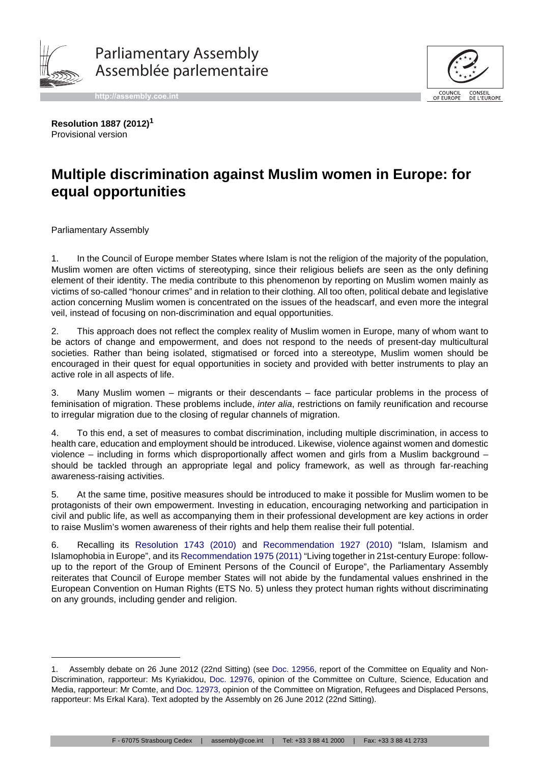

Parliamentary Assembly Assemblée parlementaire

**http://assembly.coe.int**



**Resolution 1887 (2012)<sup>1</sup>** Provisional version

## **Multiple discrimination against Muslim women in Europe: for equal opportunities**

Parliamentary Assembly

1. In the Council of Europe member States where Islam is not the religion of the majority of the population, Muslim women are often victims of stereotyping, since their religious beliefs are seen as the only defining element of their identity. The media contribute to this phenomenon by reporting on Muslim women mainly as victims of so-called "honour crimes" and in relation to their clothing. All too often, political debate and legislative action concerning Muslim women is concentrated on the issues of the headscarf, and even more the integral veil, instead of focusing on non-discrimination and equal opportunities.

2. This approach does not reflect the complex reality of Muslim women in Europe, many of whom want to be actors of change and empowerment, and does not respond to the needs of present-day multicultural societies. Rather than being isolated, stigmatised or forced into a stereotype, Muslim women should be encouraged in their quest for equal opportunities in society and provided with better instruments to play an active role in all aspects of life.

3. Many Muslim women – migrants or their descendants – face particular problems in the process of feminisation of migration. These problems include, *inter alia*, restrictions on family reunification and recourse to irregular migration due to the closing of regular channels of migration.

4. To this end, a set of measures to combat discrimination, including multiple discrimination, in access to health care, education and employment should be introduced. Likewise, violence against women and domestic violence – including in forms which disproportionally affect women and girls from a Muslim background – should be tackled through an appropriate legal and policy framework, as well as through far-reaching awareness-raising activities.

5. At the same time, positive measures should be introduced to make it possible for Muslim women to be protagonists of their own empowerment. Investing in education, encouraging networking and participation in civil and public life, as well as accompanying them in their professional development are key actions in order to raise Muslim's women awareness of their rights and help them realise their full potential.

6. Recalling its Resolution 1743 (2010) and Recommendation 1927 (2010) "Islam, Islamism and Islamophobia in Europe", and its Recommendation 1975 (2011) "Living together in 21st-century Europe: followup to the report of the Group of Eminent Persons of the Council of Europe", the Parliamentary Assembly reiterates that Council of Europe member States will not abide by the fundamental values enshrined in the European Convention on Human Rights (ETS No. 5) unless they protect human rights without discriminating on any grounds, including gender and religion.

Assembly debate on 26 June 2012 (22nd Sitting) (see Doc. 12956, report of the Committee on Equality and Non-Discrimination, rapporteur: Ms Kyriakidou, Doc. 12976, opinion of the Committee on Culture, Science, Education and Media, rapporteur: Mr Comte, and Doc. 12973, opinion of the Committee on Migration, Refugees and Displaced Persons, rapporteur: Ms Erkal Kara). Text adopted by the Assembly on 26 June 2012 (22nd Sitting).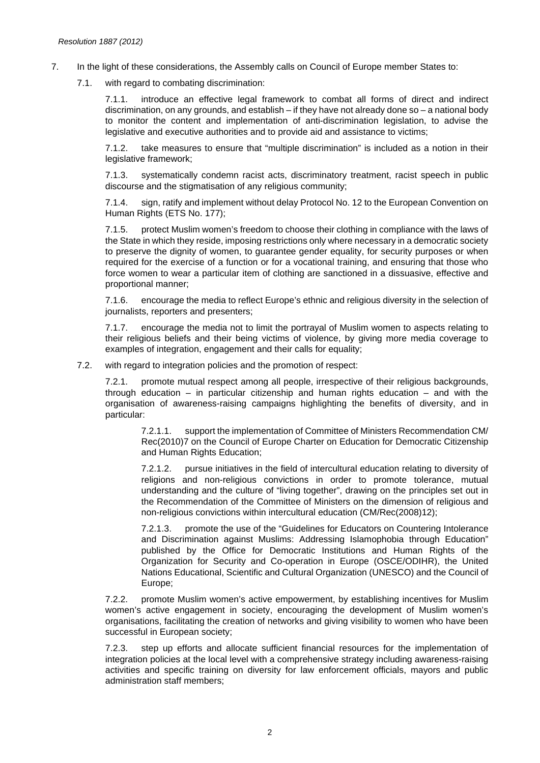- 7. In the light of these considerations, the Assembly calls on Council of Europe member States to:
	- 7.1. with regard to combating discrimination:

7.1.1. introduce an effective legal framework to combat all forms of direct and indirect discrimination, on any grounds, and establish – if they have not already done so – a national body to monitor the content and implementation of anti-discrimination legislation, to advise the legislative and executive authorities and to provide aid and assistance to victims;

7.1.2. take measures to ensure that "multiple discrimination" is included as a notion in their legislative framework;

7.1.3. systematically condemn racist acts, discriminatory treatment, racist speech in public discourse and the stigmatisation of any religious community;

7.1.4. sign, ratify and implement without delay Protocol No. 12 to the European Convention on Human Rights (ETS No. 177);

7.1.5. protect Muslim women's freedom to choose their clothing in compliance with the laws of the State in which they reside, imposing restrictions only where necessary in a democratic society to preserve the dignity of women, to guarantee gender equality, for security purposes or when required for the exercise of a function or for a vocational training, and ensuring that those who force women to wear a particular item of clothing are sanctioned in a dissuasive, effective and proportional manner;

7.1.6. encourage the media to reflect Europe's ethnic and religious diversity in the selection of journalists, reporters and presenters;

7.1.7. encourage the media not to limit the portrayal of Muslim women to aspects relating to their religious beliefs and their being victims of violence, by giving more media coverage to examples of integration, engagement and their calls for equality;

7.2. with regard to integration policies and the promotion of respect:

7.2.1. promote mutual respect among all people, irrespective of their religious backgrounds, through education – in particular citizenship and human rights education – and with the organisation of awareness-raising campaigns highlighting the benefits of diversity, and in particular:

7.2.1.1. support the implementation of Committee of Ministers Recommendation CM/ Rec(2010)7 on the Council of Europe Charter on Education for Democratic Citizenship and Human Rights Education;

7.2.1.2. pursue initiatives in the field of intercultural education relating to diversity of religions and non-religious convictions in order to promote tolerance, mutual understanding and the culture of "living together", drawing on the principles set out in the Recommendation of the Committee of Ministers on the dimension of religious and non-religious convictions within intercultural education (CM/Rec(2008)12);

7.2.1.3. promote the use of the "Guidelines for Educators on Countering Intolerance and Discrimination against Muslims: Addressing Islamophobia through Education" published by the Office for Democratic Institutions and Human Rights of the Organization for Security and Co-operation in Europe (OSCE/ODIHR), the United Nations Educational, Scientific and Cultural Organization (UNESCO) and the Council of Europe;

7.2.2. promote Muslim women's active empowerment, by establishing incentives for Muslim women's active engagement in society, encouraging the development of Muslim women's organisations, facilitating the creation of networks and giving visibility to women who have been successful in European society;

7.2.3. step up efforts and allocate sufficient financial resources for the implementation of integration policies at the local level with a comprehensive strategy including awareness-raising activities and specific training on diversity for law enforcement officials, mayors and public administration staff members;